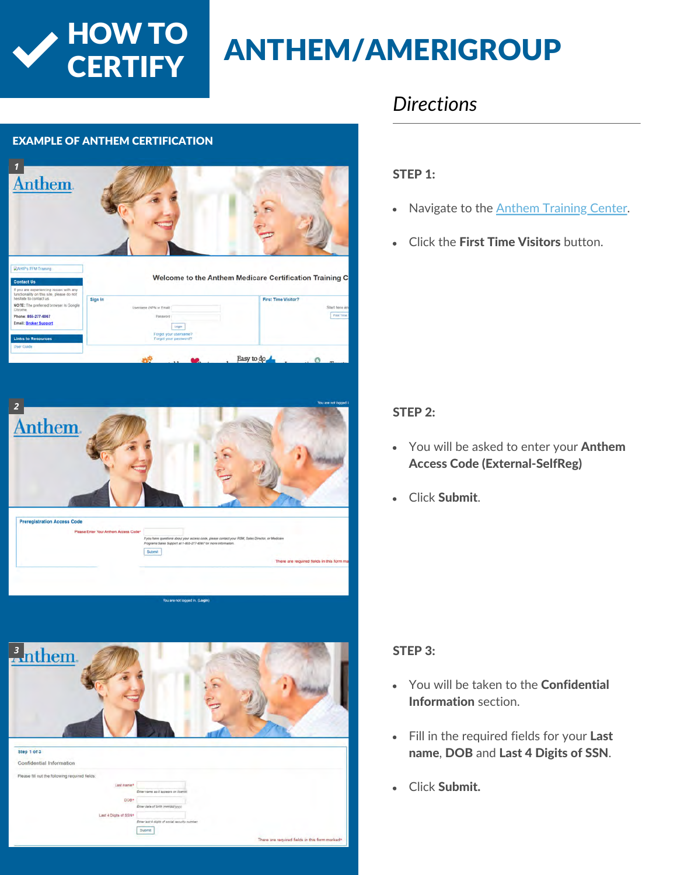

## **ANTHEM/AMERIGROUP**

#### EXAMPLE OF ANTHEM CERTIFICATION







### *Directions*

#### STEP 1:

- Navigate to the [Anthem Training Center.](https://anthem.cmpsystem.com/)  $\bullet$
- Click the First Time Visitors button.  $\bullet$

#### STEP 2:

- You will be asked to enter your **Anthem** Access Code (External-SelfReg)
- Click Submit.  $\bullet$

#### STEP 3:

- You will be taken to the **Confidential**  $\bullet$ Information section.
- Fill in the required fields for your Last name, DOB and Last 4 Digits of SSN.
- Click Submit.  $\bullet$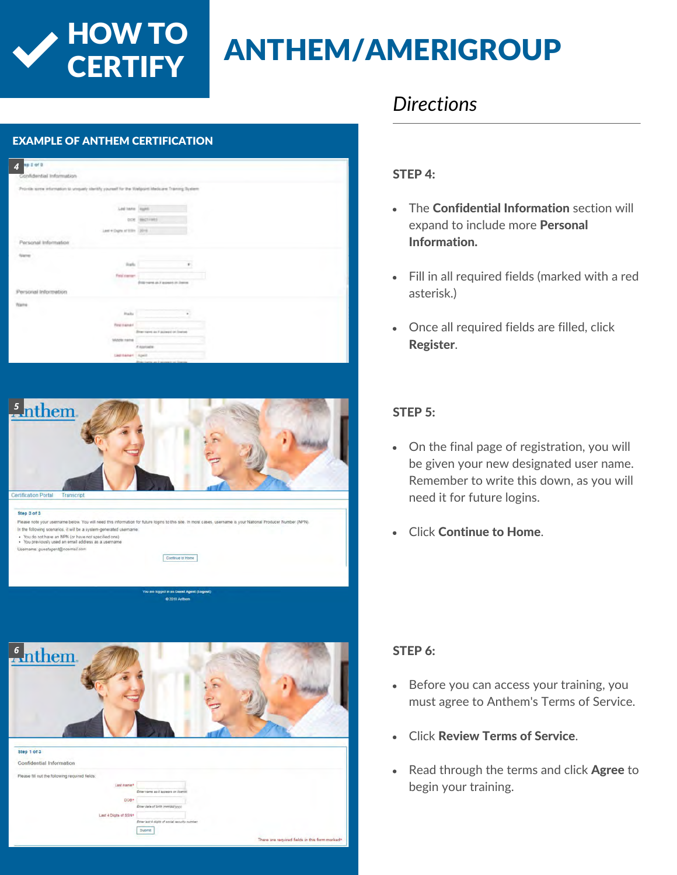## **ANTHEM/AMERIGROUP**

## EXAMPLE OF ANTHEM CERTIFICATION *4* the community from the Minimum Maintenance Temporer Research Led bank State ... not increase. ail Inform d Indian

**HOW TO<br>CERTIFY** 



Cran 3 of 1

Please note your username below. You will need this information for future logins to this site. In most cases, usern In the following scenarios, it will be a system-generated username • You do not have an NPN (or have not specified one)<br>• You previously used an email address as a usernam

e: questagent@no

Continue to Home



### *Directions*

#### STEP 4:

- The Confidential Information section will expand to include more Personal Information.
- Fill in all required fields (marked with a red asterisk.)
- Once all required fields are filled, click Register.

#### STEP 5:

- On the final page of registration, you will be given your new designated user name. Remember to write this down, as you will need it for future logins.
- $\bullet$ Click Continue to Home.

#### STEP 6:

- Before you can access your training, you must agree to Anthem's Terms of Service.
- Click Review Terms of Service.
- Read through the terms and click Agree to begin your training.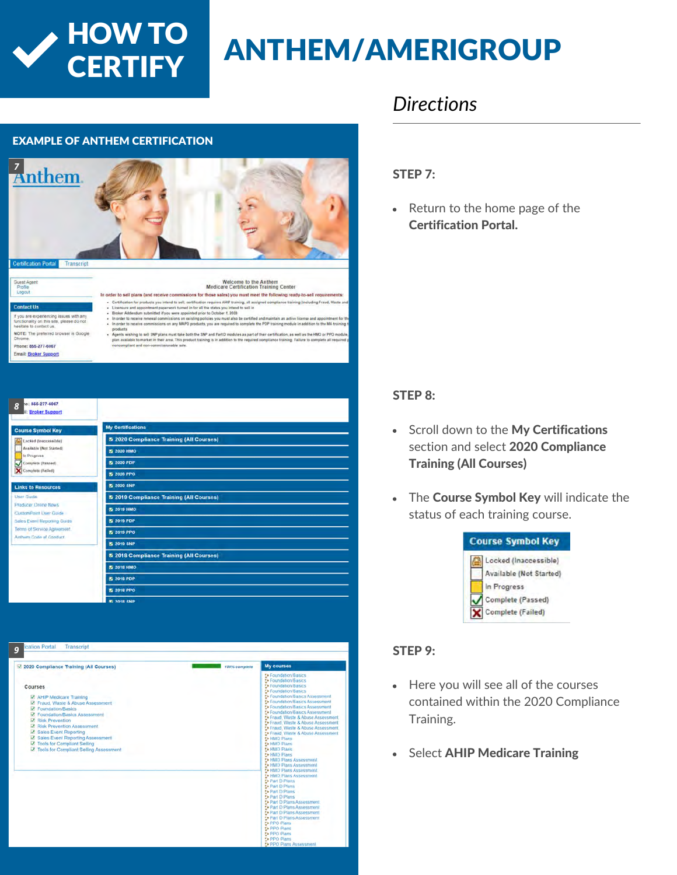**CERTIFY** 

## HOW TO ANTHEM/AMERIGROUP

#### EXAMPLE OF ANTHEM CERTIFICATION



**B. 2018 SMP** 

ou are experiencing issues with any<br>sclionality on this site, please do not<br>sitate to contect us. NOTE: The preferred browser is Google

Phone: 855-277-6067

Email: Broker Support

*8*

In order to sell plans (and receive commissions for those sales) you must meet the following ready-to-sell req Agents wishing to sell SNP plans must take both the SNP and Part D modules as part of their certificat .<br>plan available to market in their area. This product training is in addition to the req<br>noncompliant and non-commissionable sale.

e: 855-277-6067 roker Support My Certifications **Symbol Key** 5 2020 Compliance Training (All Courses) :<br>Ked (finacionsible) vailable (Not Started) **3** 2020 HMO Progress splieta (Passad) **5** 2020 PDP lete (Failed) **5 2020 PPO 5 2020 SNP** 5 2019 Compliance Training (All Courses) cer Online News **5 2019 HMO CustomPoint User Cuide 3** 2019 PDP Sales Event Reporting Guide Terms of Service Agreeme **5** 2019 PPO m Code of Conduct 5 2019 SNP 5 2018 Compliance Training (All Courses) **5 2018 HMO 5** 2018 PDP **5** 2018 PPO

| 2020 Compliance Training (All Courses)                                                                                                                                                                                                                                                                                                       | 100% complete | <b>My courses</b>                                                                                                                                                                                                                                                                                                                                                                                                                                                                                                                                                                                                                                                                                                                                                                                                                                                                                        |
|----------------------------------------------------------------------------------------------------------------------------------------------------------------------------------------------------------------------------------------------------------------------------------------------------------------------------------------------|---------------|----------------------------------------------------------------------------------------------------------------------------------------------------------------------------------------------------------------------------------------------------------------------------------------------------------------------------------------------------------------------------------------------------------------------------------------------------------------------------------------------------------------------------------------------------------------------------------------------------------------------------------------------------------------------------------------------------------------------------------------------------------------------------------------------------------------------------------------------------------------------------------------------------------|
| Courses<br>M AHIP Medicare Training<br>P Fraud, Waste & Abuse Assessment<br>C Foundation/Basics<br>C Foundation/Basics Assessment<br>Risk Prevention<br>Risk Prevention Assessment<br>Sales Event Reporting<br><b>Z</b> Sales Event Reporting Assessment<br><b>Z</b> Tools for Compliant Selling<br>Z Tools for Compliant Selling Assessment |               | ** Foundation/Basics<br>** Foundation/Basics<br>** Foundation/Basics<br>** Foundation/Basics<br>* Foundation/Basics Assessment<br><b>** Foundation/Basics Assessment</b><br>* Foundation/Basics Assessment<br><b>Ex Foundation/Basics Assessment</b><br>** Fraud, Waste & Abuse Assessment<br>** Fraud. Waste & Abuse Assessment<br>** Fraud, Waste & Abuse Assessment<br>* Fraud, Waste & Abuse Assessment<br><b>** HMO Plans</b><br><b>1% HMO Plans</b><br>** HMO Plans<br>F. HMO Plans<br>** HMO Plans Assessment<br>** HMO Plans Assessment<br>** HMO Plans Assessment<br>** HMO Plans Assessment<br>to Part D Plans<br>to Part D Plans<br>to Part D Plans<br><b>E</b> Part D Plans<br>To Part D Plans Assessment<br><b>E</b> Part D Plans Assessment<br>F. Part D Plans Assessment<br>To Part D Plans Assessment<br><b>Fa PPO Plans</b><br><b>5 PPO Plans</b><br><b>Ex PPO Plans</b><br>* PPO Plans |

### *Directions*

#### STEP 7:

• Return to the home page of the Certification Portal.

#### STEP 8:

- Scroll down to the My Certifications section and select 2020 Compliance Training (All Courses)
- The Course Symbol Key will indicate the status of each training course.



#### STEP 9:

- Here you will see all of the courses contained within the 2020 Compliance Training.
- **Select AHIP Medicare Training**  $\bullet$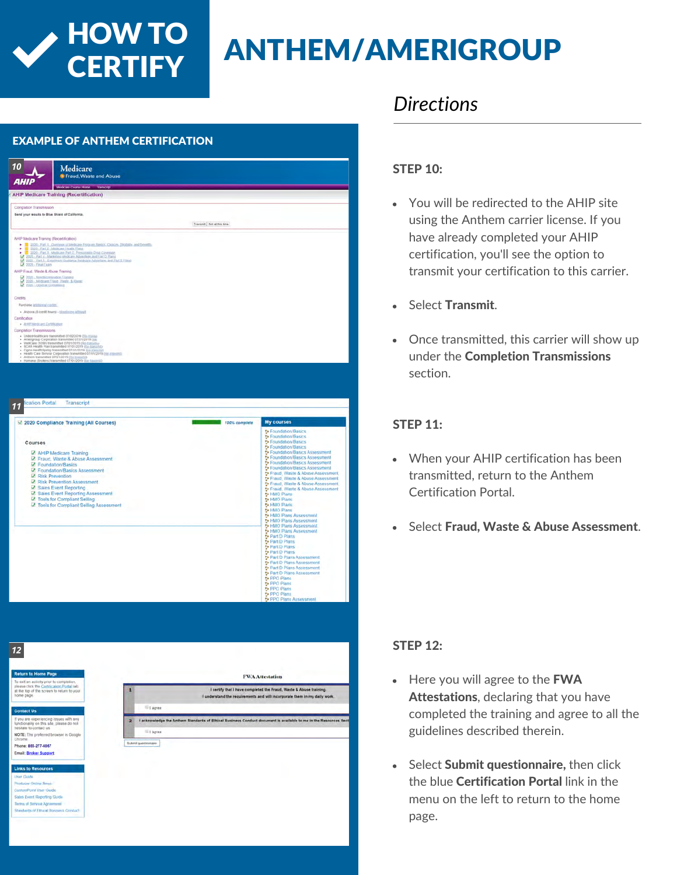## HOW TO ANTHEM/AMERIGROUP

#### EXAMPLE OF ANTHEM CERTIFICATION

**CERTIFY** 

| 10<br><i><b>AHIP</b></i>                                                                                                                                                                                                                                   | Medicare<br>Fraud, Waste and Abuse                                                                                                                                                                                                                                                                                                                                                                                                         |                             |                                                                                                                                                                                         |
|------------------------------------------------------------------------------------------------------------------------------------------------------------------------------------------------------------------------------------------------------------|--------------------------------------------------------------------------------------------------------------------------------------------------------------------------------------------------------------------------------------------------------------------------------------------------------------------------------------------------------------------------------------------------------------------------------------------|-----------------------------|-----------------------------------------------------------------------------------------------------------------------------------------------------------------------------------------|
|                                                                                                                                                                                                                                                            | Medicare Course Home Transcript                                                                                                                                                                                                                                                                                                                                                                                                            |                             |                                                                                                                                                                                         |
|                                                                                                                                                                                                                                                            | <b>AHIP Medicare Training (Recertification)</b>                                                                                                                                                                                                                                                                                                                                                                                            |                             |                                                                                                                                                                                         |
| Completion Transmission                                                                                                                                                                                                                                    |                                                                                                                                                                                                                                                                                                                                                                                                                                            |                             |                                                                                                                                                                                         |
| Send your results to Blue Shield of California.                                                                                                                                                                                                            |                                                                                                                                                                                                                                                                                                                                                                                                                                            |                             |                                                                                                                                                                                         |
|                                                                                                                                                                                                                                                            |                                                                                                                                                                                                                                                                                                                                                                                                                                            | Transmit   Not at this time |                                                                                                                                                                                         |
| AHP Medicare Traming (Recentrication)<br>2020 - Part 2 - Modicine Health Plate<br>2 2020 - Fan 5 - Ent<br>AHP Fraud, Waste & Abuse Training<br>2 2020 . Nordscrimination Training<br>2020 - Modicare Fraud, Wasle, & Alway,<br>2 2021 - General Complainty | 2020 - Parl 1 - Dymney of Medicare Program Resion. Choices, ElioBillis, and Denisth.<br>THE 2020 - Part 2 - Middlews Hill and Hillsen<br>The 2020 - Part 3 - Middlews Part D. Presidential Drive Constants<br>2020 - Part 1 - Modicare marty - monochine, and Eart D Prans<br>22 - 2025 - Part 4 - Marketino Medicare Advantage, and Eart D Prans<br>2020 - Fart 5 - Entoletent Guidance Medicare Advantage and Part O Falmi               |                             |                                                                                                                                                                                         |
|                                                                                                                                                                                                                                                            |                                                                                                                                                                                                                                                                                                                                                                                                                                            |                             |                                                                                                                                                                                         |
| Credits<br>Parchase additional credits:                                                                                                                                                                                                                    |                                                                                                                                                                                                                                                                                                                                                                                                                                            |                             |                                                                                                                                                                                         |
| + Anzona (6 cerdi hours) - Homining affiliati                                                                                                                                                                                                              |                                                                                                                                                                                                                                                                                                                                                                                                                                            |                             |                                                                                                                                                                                         |
| Certification                                                                                                                                                                                                                                              |                                                                                                                                                                                                                                                                                                                                                                                                                                            |                             |                                                                                                                                                                                         |
| · ARP Medicard Certification<br>Completion Transmissions                                                                                                                                                                                                   |                                                                                                                                                                                                                                                                                                                                                                                                                                            |                             |                                                                                                                                                                                         |
|                                                                                                                                                                                                                                                            | · United teamcare transmitted (00/02/2019 Eta-hana)<br>Amerigioup Corporation fransmitted 07/01/2019 (list<br>WellCare (1099) transmitted 07/01/2019 (Re-transmitted 07/01/2019 (Re-transmitted)<br>- Cigna-Health Spring transmitted 07/01/2019 (6/c Saltamic)<br>- Health Care Service Corporation transmitted 07/01/2019 (6/c springs)<br>- Anthon transmitted 07/01/2019 ((6/c transmit)<br>- Humana ((lickers) transmitted 07/01/2019 |                             |                                                                                                                                                                                         |
|                                                                                                                                                                                                                                                            |                                                                                                                                                                                                                                                                                                                                                                                                                                            |                             |                                                                                                                                                                                         |
| cation Portal                                                                                                                                                                                                                                              | <b>Transcript</b>                                                                                                                                                                                                                                                                                                                                                                                                                          |                             |                                                                                                                                                                                         |
|                                                                                                                                                                                                                                                            | 2 2020 Compliance Training (All Courses)                                                                                                                                                                                                                                                                                                                                                                                                   | roo% complete               | <b>My courses</b>                                                                                                                                                                       |
|                                                                                                                                                                                                                                                            |                                                                                                                                                                                                                                                                                                                                                                                                                                            |                             | D Foundation/Basics                                                                                                                                                                     |
| Courses                                                                                                                                                                                                                                                    |                                                                                                                                                                                                                                                                                                                                                                                                                                            |                             | <b>5</b> Foundation/Basics<br>To Foundation/Basics                                                                                                                                      |
|                                                                                                                                                                                                                                                            |                                                                                                                                                                                                                                                                                                                                                                                                                                            |                             | <b>D</b> Foundation/Basics                                                                                                                                                              |
|                                                                                                                                                                                                                                                            | AHIP Medicare Training<br>M. Fraud, Waste & Abuse Assessment                                                                                                                                                                                                                                                                                                                                                                               |                             | C-Foundation/Basics Assessment<br>* Foundation/Basics Assessment                                                                                                                        |
| <b>Z</b> Foundation/Basics                                                                                                                                                                                                                                 |                                                                                                                                                                                                                                                                                                                                                                                                                                            |                             | * Foundation/Basics Assessment                                                                                                                                                          |
|                                                                                                                                                                                                                                                            | C Foundation/Basics Assessment                                                                                                                                                                                                                                                                                                                                                                                                             |                             | <sup>2</sup> Foundation/Basics Assessment                                                                                                                                               |
| Risk Prevention                                                                                                                                                                                                                                            | Risk Prevention Assessment                                                                                                                                                                                                                                                                                                                                                                                                                 |                             |                                                                                                                                                                                         |
|                                                                                                                                                                                                                                                            | Sales Event Reporting                                                                                                                                                                                                                                                                                                                                                                                                                      |                             |                                                                                                                                                                                         |
|                                                                                                                                                                                                                                                            | Z Sales Event Reporting Assessment                                                                                                                                                                                                                                                                                                                                                                                                         |                             | to HMO Plans                                                                                                                                                                            |
|                                                                                                                                                                                                                                                            | M Tools for Compliant Seiling<br>Z Tools for Compliant Seiling Assessment                                                                                                                                                                                                                                                                                                                                                                  |                             | <b>1</b> HMO Plans<br><b>5 HMO Plans</b>                                                                                                                                                |
|                                                                                                                                                                                                                                                            |                                                                                                                                                                                                                                                                                                                                                                                                                                            |                             | <b>C</b> +HMO Plans<br><sup>2</sup> HMO Plans Assessment                                                                                                                                |
|                                                                                                                                                                                                                                                            |                                                                                                                                                                                                                                                                                                                                                                                                                                            |                             | ** HMO Plans Assessment                                                                                                                                                                 |
|                                                                                                                                                                                                                                                            |                                                                                                                                                                                                                                                                                                                                                                                                                                            |                             | <b>** HMO Plans Assessment</b><br><sup>2</sup> HMO Plans Assessment                                                                                                                     |
|                                                                                                                                                                                                                                                            |                                                                                                                                                                                                                                                                                                                                                                                                                                            |                             | the Part D Plans                                                                                                                                                                        |
|                                                                                                                                                                                                                                                            |                                                                                                                                                                                                                                                                                                                                                                                                                                            |                             | to Part D Plans<br>Part D Plans                                                                                                                                                         |
|                                                                                                                                                                                                                                                            |                                                                                                                                                                                                                                                                                                                                                                                                                                            |                             | <b>D</b> Part D Plans                                                                                                                                                                   |
|                                                                                                                                                                                                                                                            |                                                                                                                                                                                                                                                                                                                                                                                                                                            |                             | Part D Plans Assessment<br>De Part D Plans Assessment                                                                                                                                   |
|                                                                                                                                                                                                                                                            |                                                                                                                                                                                                                                                                                                                                                                                                                                            |                             | * Fraud, Waste & Abuse Assessment.<br>Fraud, Waste & Abuse Assessment<br><sup>2</sup> Fraud, Waste & Abuse Assessment.<br>Te Fraud, Waste & Abuse Assessment<br>Part D Plans Assessment |
|                                                                                                                                                                                                                                                            |                                                                                                                                                                                                                                                                                                                                                                                                                                            |                             | Part D Plans Assessment<br>to PPO Plans                                                                                                                                                 |
| 11                                                                                                                                                                                                                                                         |                                                                                                                                                                                                                                                                                                                                                                                                                                            |                             | PPO Plans                                                                                                                                                                               |
|                                                                                                                                                                                                                                                            |                                                                                                                                                                                                                                                                                                                                                                                                                                            |                             | PPO Plans<br>PPO Plans<br>PPO Plans Assessment                                                                                                                                          |

| <b>Return to Home Page</b>                                                                                                                        |    | <b>FWA Attestation</b>                                                                                                                          |
|---------------------------------------------------------------------------------------------------------------------------------------------------|----|-------------------------------------------------------------------------------------------------------------------------------------------------|
| To exit an activity prior to completion.<br>please click the Certification Portal lab<br>at the top of the screen to return to your<br>home page. |    | I certify that I have completed the Fraud, Waste & Abuse training.<br>I understand the requirements and will incorporate them in my daily work. |
| <b>Contact Us</b>                                                                                                                                 |    | I agree                                                                                                                                         |
| If you are experiencing issues with any<br>functionality on this site, please do not<br>hesitate to contact us.                                   | 12 | I acknowledge the Anthem Standards of Ethical Business Conduct document is available to me in the Resources Sect                                |
| NOTE: The preferred browser is Google<br>Chrome.                                                                                                  |    | El agree                                                                                                                                        |
| Phone: 855-277-6067                                                                                                                               |    | Submit guestionnaire                                                                                                                            |
| <b>Email: Broker Support</b>                                                                                                                      |    |                                                                                                                                                 |
| <b>Links to Resources</b>                                                                                                                         |    |                                                                                                                                                 |
| User Guide                                                                                                                                        |    |                                                                                                                                                 |
| Producer Online News-                                                                                                                             |    |                                                                                                                                                 |
| CustomPoint User Guide                                                                                                                            |    |                                                                                                                                                 |
| Sales Event Reporting Guide                                                                                                                       |    |                                                                                                                                                 |
| Terms of Service Agreement                                                                                                                        |    |                                                                                                                                                 |
| Standards of Ethical Business Conduct                                                                                                             |    |                                                                                                                                                 |

### *Directions*

#### STEP 10:

- You will be redirected to the AHIP site using the Anthem carrier license. If you have already completed your AHIP certification, you'll see the option to transmit your certification to this carrier.
- Select Transmit.
- Once transmitted, this carrier will show up under the Completion Transmissions section.

#### STEP 11:

- When your AHIP certification has been transmitted, return to the Anthem Certification Portal.
- Select Fraud, Waste & Abuse Assessment.

#### STFP<sub>12</sub>.

- $\bullet$  Here you will agree to the **FWA** Attestations, declaring that you have completed the training and agree to all the guidelines described therein.
- Select Submit questionnaire, then click the blue Certification Portal link in the menu on the left to return to the home page.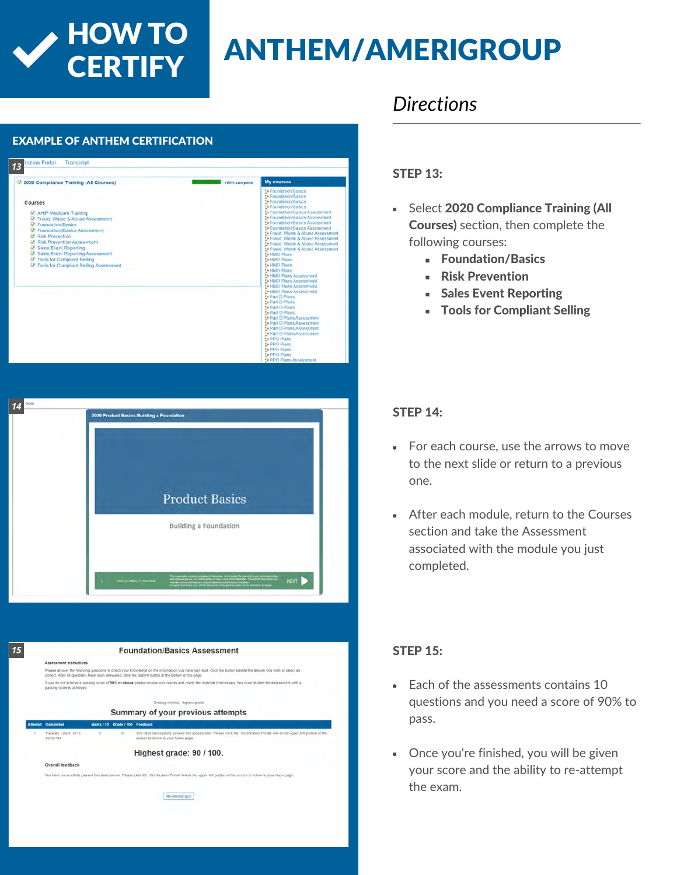## HOW TO ANTHEM/AMERIGROUP

### EXAMPLE OF ANTHEM CERTIFICATION *13* Transcript 22020 Compliance Training (All Courses) My co **CARL ANNUAL** Courses varies<br>
Marie Medicare Training<br>
Marie & Abuse Assessm<br>
Marie Training Sasics<br>
Marie Marie Assessment<br>
Marie Prevention<br>
Marie Prevention<br>
Marie Prevention<br>
Marie Prevention<br>
Marie Prevention<br>
Marie Prevention<br>
Marie Preve isk Prevention Assessment<br>ales Event Reporting<br>ales Event Reporting Asses:<br>aols for Compliant Selling s for Compliant Selling<br>Is for Compliant Selling Assess

**CERTIFY** 



|                | Assessment instructions            |   |                                 |                                                                                                                                                                                                                                                                      |
|----------------|------------------------------------|---|---------------------------------|----------------------------------------------------------------------------------------------------------------------------------------------------------------------------------------------------------------------------------------------------------------------|
|                |                                    |   |                                 | Please answer the following questions to check your knowledge on the information you have just read. Click the button beside the answer you with to select as<br>correct. After all questions have been answered. click the Submit button at the bottom of the page. |
|                | passing score is achieved.         |   |                                 | If you do not achieve a passing score of 90% or above, please review your results and revisit the material if necessary. You must re-take the assessment until a                                                                                                     |
|                |                                    |   |                                 | Grading method: Highest grade                                                                                                                                                                                                                                        |
|                |                                    |   |                                 | Summary of your previous attempts                                                                                                                                                                                                                                    |
| <b>Attempt</b> | Completed                          |   | Marks / 10 Grade / 100 Feedback |                                                                                                                                                                                                                                                                      |
|                | Tuesday, July 2, 2019.<br>06:02 PM | ٠ | 90                              | You have successfully passed this assessment. Please click the 'Certification Portal' link at the upper left portion of the<br>screen to return to your home page.                                                                                                   |
|                |                                    |   |                                 | Highest grade: 90 / 100.                                                                                                                                                                                                                                             |
|                | Overall feedback                   |   |                                 |                                                                                                                                                                                                                                                                      |
|                |                                    |   |                                 | You have successfully passed this assessment. Please click the 'Certification Portal' link at the upper left portion of the screen to return to your home page.                                                                                                      |
|                |                                    |   |                                 | Re-attempt quiz.                                                                                                                                                                                                                                                     |

### *Directions*

#### STEP 13:

- Select 2020 Compliance Training (All Courses) section, then complete the following courses:
	- **Foundation/Basics**
	- **Risk Prevention**
	- **Sales Event Reporting**
	- Tools for Compliant Selling

#### STEP 14:

- For each course, use the arrows to move to the next slide or return to a previous one.
- After each module, return to the Courses section and take the Assessment associated with the module you just completed.

#### STEP 15:

- Each of the assessments contains 10 questions and you need a score of 90% to pass.
- Once you're finished, you will be given your score and the ability to re-attempt the exam.